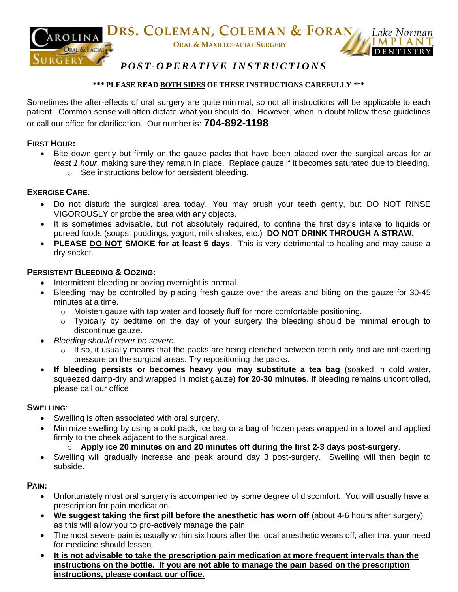

## *P O S T- O P E R AT I V E I N S T R U C T I O N S*

#### **\*\*\* PLEASE READ BOTH SIDES OF THESE INSTRUCTIONS CAREFULLY \*\*\***

Sometimes the after-effects of oral surgery are quite minimal, so not all instructions will be applicable to each patient. Common sense will often dictate what you should do. However, when in doubt follow these guidelines or call our office for clarification. Our number is: **704-892-1198**

#### **FIRST HOUR:**

 Bite down gently but firmly on the gauze packs that have been placed over the surgical areas for *at least 1 hour*, making sure they remain in place. Replace gauze if it becomes saturated due to bleeding. o See instructions below for persistent bleeding.

#### **EXERCISE CARE**:

- Do not disturb the surgical area today. You may brush your teeth gently, but DO NOT RINSE VIGOROUSLY or probe the area with any objects.
- It is sometimes advisable, but not absolutely required, to confine the first day's intake to liquids or pureed foods (soups, puddings, yogurt, milk shakes, etc.) **DO NOT DRINK THROUGH A STRAW.**
- **PLEASE DO NOT SMOKE for at least 5 days**. This is very detrimental to healing and may cause a dry socket.

#### **PERSISTENT BLEEDING & OOZING:**

- Intermittent bleeding or oozing overnight is normal.
- Bleeding may be controlled by placing fresh gauze over the areas and biting on the gauze for 30-45 minutes at a time.
	- $\circ$  Moisten gauze with tap water and loosely fluff for more comfortable positioning.
	- o Typically by bedtime on the day of your surgery the bleeding should be minimal enough to discontinue gauze.
- *Bleeding should never be severe.*
	- $\circ$  If so, it usually means that the packs are being clenched between teeth only and are not exerting pressure on the surgical areas. Try repositioning the packs.
- **If bleeding persists or becomes heavy you may substitute a tea bag** (soaked in cold water, squeezed damp-dry and wrapped in moist gauze) **for 20-30 minutes**. If bleeding remains uncontrolled, please call our office.

#### **SWELLING**:

- Swelling is often associated with oral surgery.
- Minimize swelling by using a cold pack, ice bag or a bag of frozen peas wrapped in a towel and applied firmly to the cheek adjacent to the surgical area.

#### o **Apply ice 20 minutes on and 20 minutes off during the first 2-3 days post-surgery**.

 Swelling will gradually increase and peak around day 3 post-surgery. Swelling will then begin to subside.

#### **PAIN:**

- Unfortunately most oral surgery is accompanied by some degree of discomfort. You will usually have a prescription for pain medication.
- **We suggest taking the first pill before the anesthetic has worn off** (about 4-6 hours after surgery) as this will allow you to pro-actively manage the pain.
- The most severe pain is usually within six hours after the local anesthetic wears off; after that your need for medicine should lessen.
- **It is not advisable to take the prescription pain medication at more frequent intervals than the instructions on the bottle. If you are not able to manage the pain based on the prescription instructions, please contact our office.**